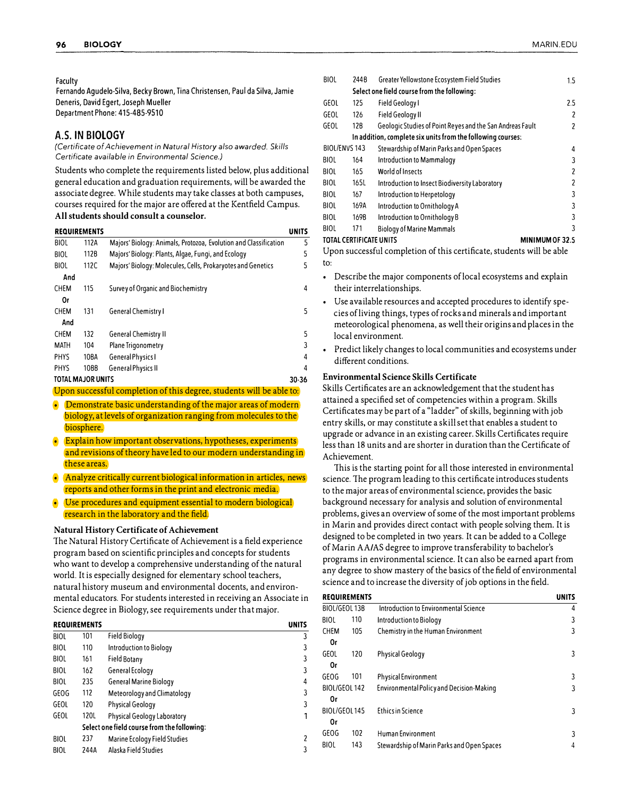#### Faculty

Fernando Agudelo-Silva, Becky Brown, Tina Christensen, Paul da Silva, Jamie Deneris, David Egert, Joseph Mueller Department Phone: 415-465-9510

## **A.S. IN BIOLOGY**

*(Certificate of Achievement in Natural History also awarded. Skills Certificate available in Environmental Science.)* 

Students who complete the requirements listed below, plus additional general education and graduation requirements, will be awarded the associate degree. While students may take classes at both campuses, courses required for the major are offered at the Kentfield Campus. **All students should consult a counselor.** 

| <b>REQUIREMENTS</b><br>UNITS |      |                                                                  |       |
|------------------------------|------|------------------------------------------------------------------|-------|
| <b>BIOL</b>                  | 112A | Majors' Biology: Animals, Protozoa, Evolution and Classification | 5     |
| <b>BIOL</b>                  | 1128 | Majors' Biology: Plants, Algae, Fungi, and Ecology               | 5     |
| <b>BIOL</b>                  | 112C | Majors' Biology: Molecules, Cells, Prokaryotes and Genetics      | 5     |
| And                          |      |                                                                  |       |
| <b>CHEM</b>                  | 115  | Survey of Organic and Biochemistry                               | 4     |
| 0r                           |      |                                                                  |       |
| <b>CHEM</b>                  | 131  | <b>General Chemistry I</b>                                       | 5     |
| And                          |      |                                                                  |       |
| <b>CHEM</b>                  | 132  | <b>General Chemistry II</b>                                      | 5     |
| MATH                         | 104  | Plane Trigonometry                                               | 3     |
| <b>PHYS</b>                  | 10BA | <b>General Physics I</b>                                         | 4     |
| <b>PHYS</b>                  | 1088 | <b>General Physics II</b>                                        | 4     |
| <b>TOTAL MAJOR UNITS</b>     |      |                                                                  | 30-36 |

Upon successful completion of this degree, students will be able to:

• Demonstrate basic understanding of the major areas of modern biology, at levels of organization ranging from molecules to the biosphere.

• Explain how important observations, hypotheses, experiments and revisions of theory have led to our modern understanding in these areas.

- Analyze critically current biological information in articles, news reports and other forms in the print and electronic media.
- Use procedures and equipment essential to modern biological research in the laboratory and the field.

#### **Natural History Certificate of Achievement**

The Natural History Certificate of Achievement is a field experience program based on scientific principles and concepts for students who want to develop a comprehensive understanding of the natural world. It is especially designed for elementary school teachers, natural history museum and environmental docents, and environmental educators. For students interested in receiving an Associate in Science degree in Biology, see requirements under that major.

|             | <b>REQUIREMENTS</b> |                                | UNITS |  |
|-------------|---------------------|--------------------------------|-------|--|
| <b>BIOL</b> | 101                 | <b>Field Biology</b>           | 3     |  |
| <b>BIOL</b> | 110                 | <b>Introduction to Biology</b> | 3     |  |
| <b>BIOL</b> | 161                 | <b>Field Botany</b>            | 3     |  |
| <b>BIOL</b> | 162                 | General Ecology                | 3     |  |
| <b>BIOL</b> | 235                 | <b>General Marine Biology</b>  | 4     |  |
| GEOG        | 112                 | Meteorology and Climatology    | 3     |  |
| GEOL        | 120                 | <b>Physical Geology</b>        | 3     |  |
| GEOL        | 120L                | Physical Geology Laboratory    |       |  |
|             |                     |                                |       |  |
| <b>BIOL</b> | 237                 | Marine Ecology Field Studies   | 2     |  |
| <b>BIOL</b> | 244A                | Alaska Field Studies           | 3     |  |

| <b>BIOL</b>             | 244B                                                        | Greater Yellowstone Ecosystem Field Studies               | $1.5\,$         |  |  |
|-------------------------|-------------------------------------------------------------|-----------------------------------------------------------|-----------------|--|--|
|                         |                                                             | Select one field course from the following:               |                 |  |  |
| GEOL                    | 125                                                         | Field Geology I                                           | 2.5             |  |  |
| GEOL                    | 126                                                         | <b>Field Geology II</b>                                   | 2               |  |  |
| GEOL                    | 12B                                                         | Geologic Studies of Point Reyes and the San Andreas Fault | 2               |  |  |
|                         | In addition, complete six units from the following courses: |                                                           |                 |  |  |
| BIOL/ENVS 143           |                                                             | Stewardship of Marin Parks and Open Spaces                | 4               |  |  |
| <b>BIOL</b>             | 164                                                         | Introduction to Mammalogy                                 | 3               |  |  |
| <b>BIOL</b>             | 165                                                         | World of Insects                                          | $\overline{c}$  |  |  |
| <b>BIOL</b>             | 165L                                                        | Introduction to Insect Biodiversity Laboratory            | 2               |  |  |
| <b>BIOL</b>             | 167                                                         | Introduction to Herpetology                               | 3               |  |  |
| <b>BIOL</b>             | 169A                                                        | Introduction to Ornithology A                             | 3               |  |  |
| <b>BIOL</b>             | 1698                                                        | Introduction to Ornithology B                             | 3               |  |  |
| <b>BIOL</b>             | 171                                                         | <b>Biology of Marine Mammals</b>                          | 3               |  |  |
| TOTAL CERTIFICATE UNITS |                                                             |                                                           | MINIMUM OF 32.5 |  |  |

Upon successful completion of this certificate, students will be able to:

- Describe the major components of local ecosystems and explain their interrelationships.
- Use available resources and accepted procedures to identify species of living things, types of rocks and minerals and important meteorological phenomena, as well their origins and places in the local environment.
- Predict likely changes to local communities and ecosystems under different conditions.

#### **Environmental Science Skills Certificate**

Skills Certificates are an acknowledgement that the student has attained a specified set of competencies within a program. Skills Certificates may be part of a "ladder" of skills, beginning with job entry skills, or may constitute a skill set that enables a student to upgrade or advance in an existing career. Skills Certificates require less than 18 units and are shorter in duration than the Certificate of Achievement.

This is the starting point for all those interested in environmental science. The program leading to this certificate introduces students to the major areas of environmental science, provides the basic background necessary for analysis and solution of environmental problems, gives an overview of some of the most important problems in Marin and provides direct contact with people solving them. It is designed to be completed in two years. It can be added to a College of Marin AA/AS degree to improve transferability to bachelor's programs in environmental science. It can also be earned apart from any degree to show mastery of the basics of the field of environmental science and to increase the diversity of job options in the field.

| <b>REQUIREMENTS</b> |     |                                                 | <b>UNITS</b> |
|---------------------|-----|-------------------------------------------------|--------------|
| BIOL/GEOL 13B       |     | Introduction to Environmental Science           | 4            |
| <b>BIOL</b>         | 110 | Introduction to Biology                         | 3            |
| CHEM                | 105 | Chemistry in the Human Environment              | 3            |
| 0r                  |     |                                                 |              |
| GEOL                | 120 | <b>Physical Geology</b>                         | 3            |
| 0r                  |     |                                                 |              |
| GEOG                | 101 | <b>Physical Environment</b>                     | 3            |
| BIOL/GEOL 142       |     | <b>Environmental Policy and Decision-Making</b> | 3            |
| 0r                  |     |                                                 |              |
| BIOL/GEOL145        |     | <b>Ethics in Science</b>                        | 3            |
| 0r                  |     |                                                 |              |
| GEOG                | 102 | Human Environment                               | 3            |
| <b>BIOL</b>         | 143 | Stewardship of Marin Parks and Open Spaces      |              |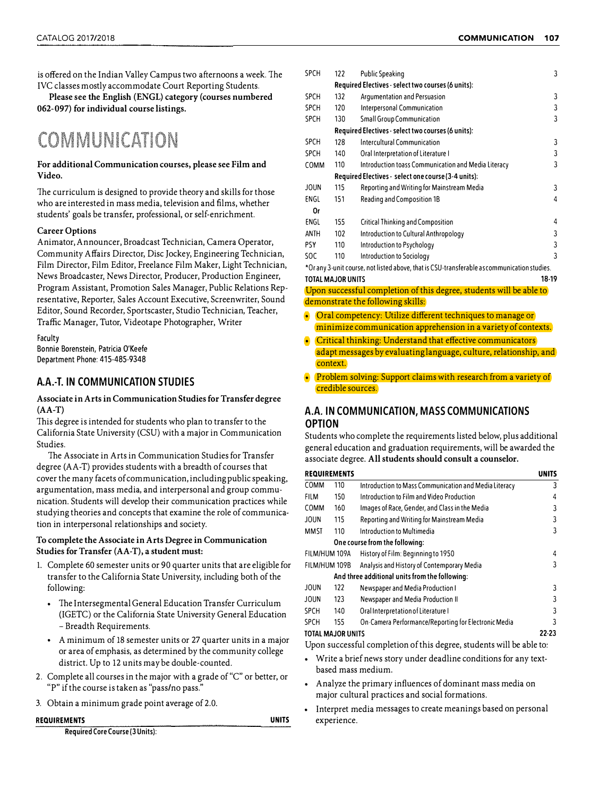is offered on the Indian Valley Campus two afternoons a week. The IVC classes mostly accommodate Court Reporting Students.

**Please see the English (ENGL) category (courses numbered 062-097) for individual course listings.**

# COMMUNICATION

#### **For additional Communication courses, please see Film and Video.**

The curriculum is designed to provide theory and skills for those who are interested in mass media, television and films, whether students' goals be transfer, professional, or self-enrichment.

#### **Career Options**

Animator, Announcer, Broadcast Technician, Camera Operator, Community Affairs Director, Disc Jockey, Engineering Technician, Film Director, Film Editor, Freelance Film Maker, Light Technician, News Broadcaster, News Director, Producer, Production Engineer, Program Assistant, Promotion Sales Manager, Public Relations Representative, Reporter, Sales Account Executive, Screenwriter, Sound Editor, Sound Recorder, Sportscaster, Studio Technician, Teacher, Traffic Manager, Tutor, Videotape Photographer, Writer

Faculty Bonnie Borenstein, Patricia O'Keefe Department Phone: 415-485-9348

## **A.A.-T. IN COMMUNICATION STUDIES**

#### **Associate in Arts in Communication Studies for Transfer degree (AA-T)**

This degree is intended for students who plan to transfer to the California State University (CSU) with a major in Communication Studies.

The Associate in Arts in Communication Studies for Transfer degree (AA-T) provides students with a breadth of courses that cover the many facets of communication, including public speaking, argumentation, mass media, and interpersonal and group communication. Students will develop their communication practices while studying theories and concepts that examine the role of communication in interpersonal relationships and society.

#### **To complete the Associate in Arts Degree in Communication Studies for Transfer (AA-T), a student must:**

- 1. Complete 60 semester units or 90 quarter units that are eligible for transfer to the California State University, including both of the following:
	- The Intersegmental General Education Transfer Curriculum (IGETC) or the California State University General Education - Breadth Requirements.
	- A minimum of 18 semester units or 27 quarter units in a major or area of emphasis, as determined by the community college district. Up to 12 units may be double-counted.
- 2. Complete all courses in the major with a grade of"C" or better, or "P" if the course is taken as "pass/no pass."
- 3. Obtain a minimum grade point average of 2.0.

**REQUIREMENTS UNITS** 

**Required Core Course (3 Units):** 

| <b>SPCH</b>       | 122 | <b>Public Speaking</b>                                                                      | 3     |
|-------------------|-----|---------------------------------------------------------------------------------------------|-------|
|                   |     | Required Electives - select two courses (6 units):                                          |       |
| <b>SPCH</b>       | 132 | Argumentation and Persuasion                                                                | 3     |
| <b>SPCH</b>       | 120 | Interpersonal Communication                                                                 | 3     |
| <b>SPCH</b>       | 130 | <b>Small Group Communication</b>                                                            | 3     |
|                   |     | Required Electives - select two courses (6 units):                                          |       |
| <b>SPCH</b>       | 128 | <b>Intercultural Communication</b>                                                          | 3     |
| <b>SPCH</b>       | 140 | Oral Interpretation of Literature I                                                         | 3     |
| <b>COMM</b>       | 110 | Introduction toass Communication and Media Literacy                                         | 3     |
|                   |     | Required Electives - select one course (3-4 units):                                         |       |
| <b>JOUN</b>       | 115 | Reporting and Writing for Mainstream Media                                                  | 3     |
| ENGL              | 151 | Reading and Composition 1B                                                                  | 4     |
| 0r                |     |                                                                                             |       |
| ENGL              | 155 | <b>Critical Thinking and Composition</b>                                                    | 4     |
| ANTH              | 102 | Introduction to Cultural Anthropology                                                       | 3     |
| PSY               | 110 | Introduction to Psychology                                                                  | 3     |
| SOC               | 110 | Introduction to Sociology                                                                   | 3     |
|                   |     | *Or any 3-unit course, not listed above, that is CSU-transferable as communication studies. |       |
| TOTAL MAJOR UNITS |     |                                                                                             | 18-19 |

Upon successful completion of this degree, students will be able to demonstrate the following skills:

- Oral competency: Utilize different techniques to manage or minimize communication apprehension in a variety of contexts.
- Critical thinking: Understand that effective communicators adapt messages by evaluating language, culture, relationship, and context.
- Problem solving: Support claims with research from a variety of credible sources.

## **A.A. IN COMMUNICATION, MASS COMMUNICATIONS OPTION**

Students who complete the requirements listed below, plus additional general education and graduation requirements, will be awarded the associate degree. **All students should consult a counselor.** 

| <b>REQUIREMENTS</b> |                                                |                                                       | UNITS |
|---------------------|------------------------------------------------|-------------------------------------------------------|-------|
| <b>COMM</b>         | 110                                            | Introduction to Mass Communication and Media Literacy | 3     |
| FILM                | 150                                            | Introduction to Film and Video Production             | 4     |
| <b>COMM</b>         | 160                                            | Images of Race, Gender, and Class in the Media        | 3     |
| <b>JOUN</b>         | 115                                            | Reporting and Writing for Mainstream Media            | 3     |
| MMST                | 110                                            | Introduction to Multimedia                            | 3     |
|                     |                                                | One course from the following:                        |       |
| FILM/HUM 109A       |                                                | History of Film: Beginning to 1950                    | 4     |
| FILM/HUM 109B       |                                                | Analysis and History of Contemporary Media            | 3     |
|                     | And three additional units from the following: |                                                       |       |
| JOUN                | 122                                            | Newspaper and Media Production I                      | 3     |
| <b>JOUN</b>         | 123                                            | Newspaper and Media Production II                     | 3     |
| <b>SPCH</b>         | 140                                            | Oral Interpretation of Literature I                   | 3     |
| <b>SPCH</b>         | 155                                            | On-Camera Performance/Reporting for Electronic Media  | 3     |
| TOTAL MAJOR UNITS   |                                                |                                                       | 22-23 |

Upon successful completion of this degree, students will be able to: • Write a brief news story under deadline conditions for any textbased mass medium.

- Analyze the primary influences of dominant mass media on major cultural practices and social formations.
- Interpret media messages to create meanings based on personal experience.